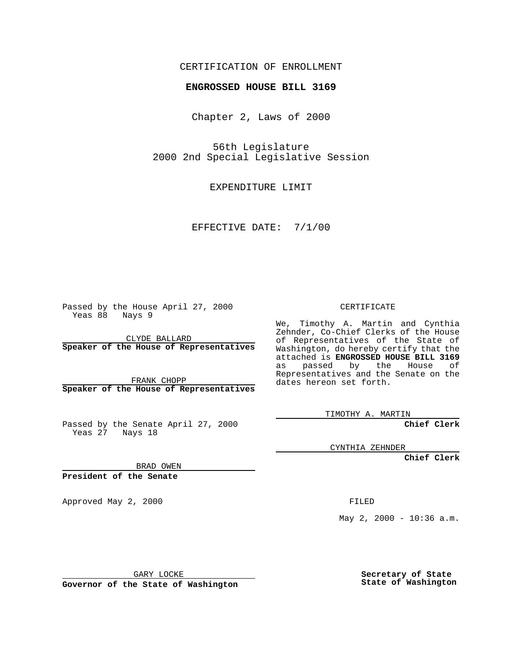### CERTIFICATION OF ENROLLMENT

# **ENGROSSED HOUSE BILL 3169**

Chapter 2, Laws of 2000

56th Legislature 2000 2nd Special Legislative Session

EXPENDITURE LIMIT

EFFECTIVE DATE: 7/1/00

Passed by the House April 27, 2000 Yeas 88 Nays 9

CLYDE BALLARD **Speaker of the House of Representatives**

FRANK CHOPP **Speaker of the House of Representatives**

Passed by the Senate April 27, 2000 Yeas 27 Nays 18

CYNTHIA ZEHNDER

**Chief Clerk**

**Chief Clerk**

BRAD OWEN

**President of the Senate**

Approved May 2, 2000 FILED

May 2, 2000 - 10:36 a.m.

GARY LOCKE

**Governor of the State of Washington**

**Secretary of State State of Washington**

#### CERTIFICATE

We, Timothy A. Martin and Cynthia Zehnder, Co-Chief Clerks of the House of Representatives of the State of Washington, do hereby certify that the attached is **ENGROSSED HOUSE BILL 3169** as passed by the House of Representatives and the Senate on the dates hereon set forth.

TIMOTHY A. MARTIN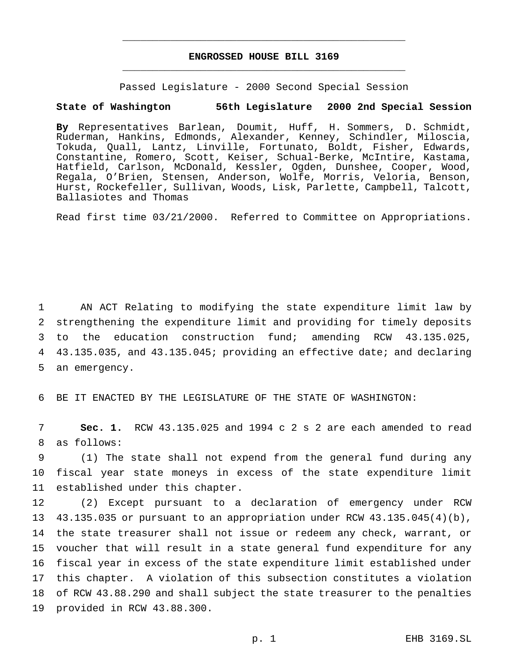## **ENGROSSED HOUSE BILL 3169** \_\_\_\_\_\_\_\_\_\_\_\_\_\_\_\_\_\_\_\_\_\_\_\_\_\_\_\_\_\_\_\_\_\_\_\_\_\_\_\_\_\_\_\_\_\_\_

\_\_\_\_\_\_\_\_\_\_\_\_\_\_\_\_\_\_\_\_\_\_\_\_\_\_\_\_\_\_\_\_\_\_\_\_\_\_\_\_\_\_\_\_\_\_\_

Passed Legislature - 2000 Second Special Session

### **State of Washington 56th Legislature 2000 2nd Special Session**

**By** Representatives Barlean, Doumit, Huff, H. Sommers, D. Schmidt, Ruderman, Hankins, Edmonds, Alexander, Kenney, Schindler, Miloscia, Tokuda, Quall, Lantz, Linville, Fortunato, Boldt, Fisher, Edwards, Constantine, Romero, Scott, Keiser, Schual-Berke, McIntire, Kastama, Hatfield, Carlson, McDonald, Kessler, Ogden, Dunshee, Cooper, Wood, Regala, O'Brien, Stensen, Anderson, Wolfe, Morris, Veloria, Benson, Hurst, Rockefeller, Sullivan, Woods, Lisk, Parlette, Campbell, Talcott, Ballasiotes and Thomas

Read first time 03/21/2000. Referred to Committee on Appropriations.

 AN ACT Relating to modifying the state expenditure limit law by strengthening the expenditure limit and providing for timely deposits to the education construction fund; amending RCW 43.135.025, 43.135.035, and 43.135.045; providing an effective date; and declaring an emergency.

6 BE IT ENACTED BY THE LEGISLATURE OF THE STATE OF WASHINGTON:

7 **Sec. 1.** RCW 43.135.025 and 1994 c 2 s 2 are each amended to read 8 as follows:

9 (1) The state shall not expend from the general fund during any 10 fiscal year state moneys in excess of the state expenditure limit 11 established under this chapter.

 (2) Except pursuant to a declaration of emergency under RCW 43.135.035 or pursuant to an appropriation under RCW 43.135.045(4)(b), the state treasurer shall not issue or redeem any check, warrant, or voucher that will result in a state general fund expenditure for any fiscal year in excess of the state expenditure limit established under this chapter. A violation of this subsection constitutes a violation of RCW 43.88.290 and shall subject the state treasurer to the penalties provided in RCW 43.88.300.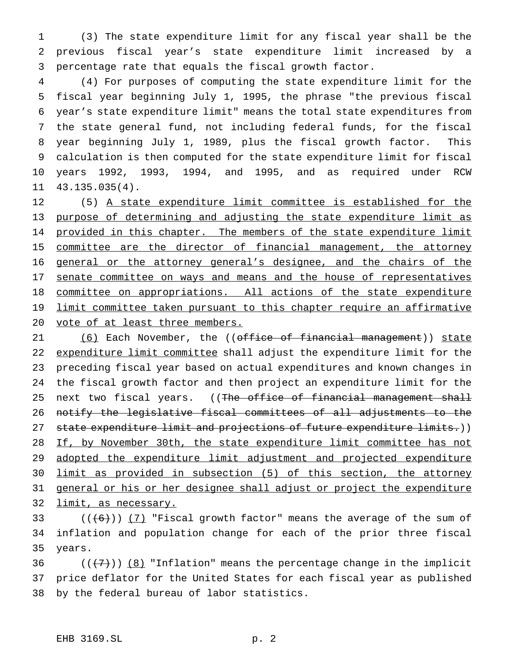(3) The state expenditure limit for any fiscal year shall be the previous fiscal year's state expenditure limit increased by a percentage rate that equals the fiscal growth factor.

 (4) For purposes of computing the state expenditure limit for the fiscal year beginning July 1, 1995, the phrase "the previous fiscal year's state expenditure limit" means the total state expenditures from the state general fund, not including federal funds, for the fiscal year beginning July 1, 1989, plus the fiscal growth factor. This calculation is then computed for the state expenditure limit for fiscal years 1992, 1993, 1994, and 1995, and as required under RCW 43.135.035(4).

 (5) A state expenditure limit committee is established for the purpose of determining and adjusting the state expenditure limit as 14 provided in this chapter. The members of the state expenditure limit 15 committee are the director of financial management, the attorney general or the attorney general's designee, and the chairs of the 17 senate committee on ways and means and the house of representatives 18 committee on appropriations. All actions of the state expenditure 19 limit committee taken pursuant to this chapter require an affirmative vote of at least three members.

21 (6) Each November, the ((office of financial management)) state 22 expenditure limit committee shall adjust the expenditure limit for the preceding fiscal year based on actual expenditures and known changes in the fiscal growth factor and then project an expenditure limit for the 25 next two fiscal years. ((The office of financial management shall notify the legislative fiscal committees of all adjustments to the 27 state expenditure limit and projections of future expenditure limits.)) 28 If, by November 30th, the state expenditure limit committee has not 29 adopted the expenditure limit adjustment and projected expenditure limit as provided in subsection (5) of this section, the attorney 31 general or his or her designee shall adjust or project the expenditure limit, as necessary.

33  $((+6))$   $(7)$  "Fiscal growth factor" means the average of the sum of inflation and population change for each of the prior three fiscal years.

36  $((+7))$  (8) "Inflation" means the percentage change in the implicit price deflator for the United States for each fiscal year as published by the federal bureau of labor statistics.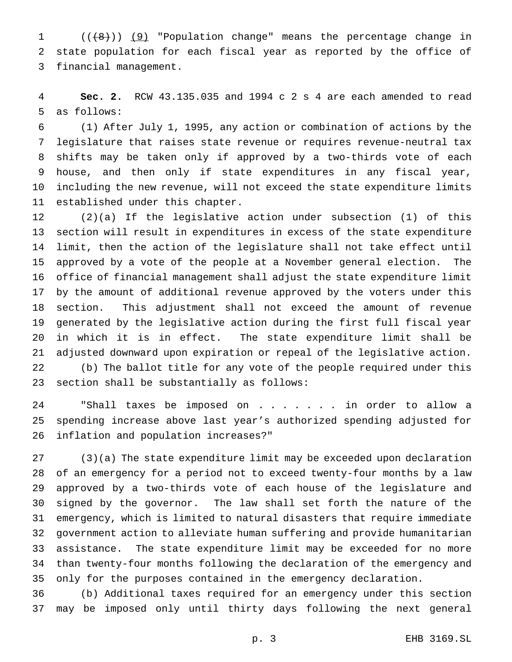1 (((8)) (9) "Population change" means the percentage change in state population for each fiscal year as reported by the office of financial management.

 **Sec. 2.** RCW 43.135.035 and 1994 c 2 s 4 are each amended to read as follows:

 (1) After July 1, 1995, any action or combination of actions by the legislature that raises state revenue or requires revenue-neutral tax shifts may be taken only if approved by a two-thirds vote of each house, and then only if state expenditures in any fiscal year, including the new revenue, will not exceed the state expenditure limits established under this chapter.

 (2)(a) If the legislative action under subsection (1) of this section will result in expenditures in excess of the state expenditure limit, then the action of the legislature shall not take effect until approved by a vote of the people at a November general election. The office of financial management shall adjust the state expenditure limit by the amount of additional revenue approved by the voters under this section. This adjustment shall not exceed the amount of revenue generated by the legislative action during the first full fiscal year in which it is in effect. The state expenditure limit shall be adjusted downward upon expiration or repeal of the legislative action. (b) The ballot title for any vote of the people required under this section shall be substantially as follows:

24 "Shall taxes be imposed on . . . . . . in order to allow a spending increase above last year's authorized spending adjusted for inflation and population increases?"

 (3)(a) The state expenditure limit may be exceeded upon declaration of an emergency for a period not to exceed twenty-four months by a law approved by a two-thirds vote of each house of the legislature and signed by the governor. The law shall set forth the nature of the emergency, which is limited to natural disasters that require immediate government action to alleviate human suffering and provide humanitarian assistance. The state expenditure limit may be exceeded for no more than twenty-four months following the declaration of the emergency and only for the purposes contained in the emergency declaration.

 (b) Additional taxes required for an emergency under this section may be imposed only until thirty days following the next general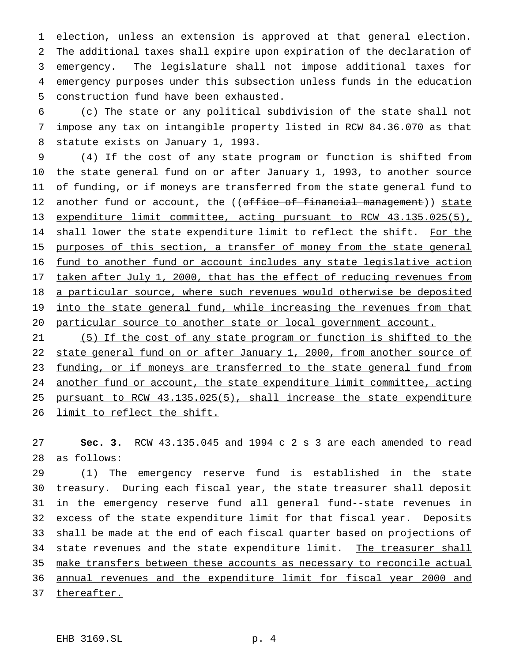election, unless an extension is approved at that general election. The additional taxes shall expire upon expiration of the declaration of emergency. The legislature shall not impose additional taxes for emergency purposes under this subsection unless funds in the education construction fund have been exhausted.

 (c) The state or any political subdivision of the state shall not impose any tax on intangible property listed in RCW 84.36.070 as that statute exists on January 1, 1993.

 (4) If the cost of any state program or function is shifted from the state general fund on or after January 1, 1993, to another source of funding, or if moneys are transferred from the state general fund to 12 another fund or account, the ((office of financial management)) state expenditure limit committee, acting pursuant to RCW 43.135.025(5), 14 shall lower the state expenditure limit to reflect the shift. For the 15 purposes of this section, a transfer of money from the state general fund to another fund or account includes any state legislative action 17 taken after July 1, 2000, that has the effect of reducing revenues from 18 a particular source, where such revenues would otherwise be deposited 19 into the state general fund, while increasing the revenues from that particular source to another state or local government account.

 (5) If the cost of any state program or function is shifted to the 22 state general fund on or after January 1, 2000, from another source of 23 funding, or if moneys are transferred to the state general fund from 24 another fund or account, the state expenditure limit committee, acting pursuant to RCW 43.135.025(5), shall increase the state expenditure 26 limit to reflect the shift.

 **Sec. 3.** RCW 43.135.045 and 1994 c 2 s 3 are each amended to read as follows:

 (1) The emergency reserve fund is established in the state treasury. During each fiscal year, the state treasurer shall deposit in the emergency reserve fund all general fund--state revenues in excess of the state expenditure limit for that fiscal year. Deposits shall be made at the end of each fiscal quarter based on projections of 34 state revenues and the state expenditure limit. The treasurer shall 35 make transfers between these accounts as necessary to reconcile actual 36 annual revenues and the expenditure limit for fiscal year 2000 and thereafter.